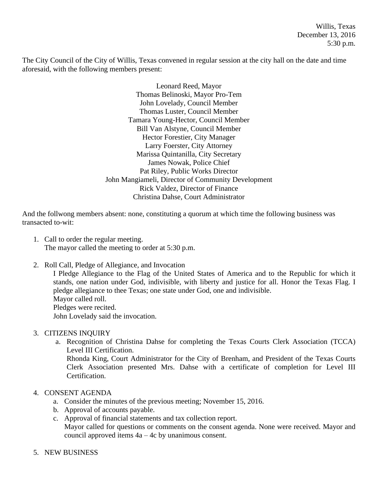Willis, Texas December 13, 2016 5:30 p.m.

The City Council of the City of Willis, Texas convened in regular session at the city hall on the date and time aforesaid, with the following members present:

> Leonard Reed, Mayor Thomas Belinoski, Mayor Pro-Tem John Lovelady, Council Member Thomas Luster, Council Member Tamara Young-Hector, Council Member Bill Van Alstyne, Council Member Hector Forestier, City Manager Larry Foerster, City Attorney Marissa Quintanilla, City Secretary James Nowak, Police Chief Pat Riley, Public Works Director John Mangiameli, Director of Community Development Rick Valdez, Director of Finance Christina Dahse, Court Administrator

And the follwong members absent: none, constituting a quorum at which time the following business was transacted to-wit:

- 1. Call to order the regular meeting. The mayor called the meeting to order at 5:30 p.m.
- 2. Roll Call, Pledge of Allegiance, and Invocation

I Pledge Allegiance to the Flag of the United States of America and to the Republic for which it stands, one nation under God, indivisible, with liberty and justice for all. Honor the Texas Flag. I pledge allegiance to thee Texas; one state under God, one and indivisible. Mayor called roll. Pledges were recited. John Lovelady said the invocation.

## 3. CITIZENS INQUIRY

a. Recognition of Christina Dahse for completing the Texas Courts Clerk Association (TCCA) Level III Certification.

Rhonda King, Court Administrator for the City of Brenham, and President of the Texas Courts Clerk Association presented Mrs. Dahse with a certificate of completion for Level III Certification.

## 4. CONSENT AGENDA

- a. Consider the minutes of the previous meeting; November 15, 2016.
- b. Approval of accounts payable.
- c. Approval of financial statements and tax collection report. Mayor called for questions or comments on the consent agenda. None were received. Mayor and council approved items 4a – 4c by unanimous consent.
- 5. NEW BUSINESS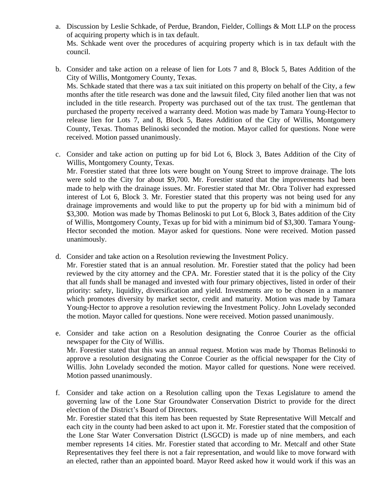- a. Discussion by Leslie Schkade, of Perdue, Brandon, Fielder, Collings & Mott LLP on the process of acquiring property which is in tax default. Ms. Schkade went over the procedures of acquiring property which is in tax default with the council.
- b. Consider and take action on a release of lien for Lots 7 and 8, Block 5, Bates Addition of the City of Willis, Montgomery County, Texas. Ms. Schkade stated that there was a tax suit initiated on this property on behalf of the City, a few months after the title research was done and the lawsuit filed, City filed another lien that was not included in the title research. Property was purchased out of the tax trust. The gentleman that purchased the property received a warranty deed. Motion was made by Tamara Young-Hector to release lien for Lots 7, and 8, Block 5, Bates Addition of the City of Willis, Montgomery County, Texas. Thomas Belinoski seconded the motion. Mayor called for questions. None were received. Motion passed unanimously.
- c. Consider and take action on putting up for bid Lot 6, Block 3, Bates Addition of the City of Willis, Montgomery County, Texas.

Mr. Forestier stated that three lots were bought on Young Street to improve drainage. The lots were sold to the City for about \$9,700. Mr. Forestier stated that the improvements had been made to help with the drainage issues. Mr. Forestier stated that Mr. Obra Toliver had expressed interest of Lot 6, Block 3. Mr. Forestier stated that this property was not being used for any drainage improvements and would like to put the property up for bid with a minimum bid of \$3,300. Motion was made by Thomas Belinoski to put Lot 6, Block 3, Bates addition of the City of Willis, Montgomery County, Texas up for bid with a minimum bid of \$3,300. Tamara Young-Hector seconded the motion. Mayor asked for questions. None were received. Motion passed unanimously.

d. Consider and take action on a Resolution reviewing the Investment Policy.

Mr. Forestier stated that is an annual resolution. Mr. Forestier stated that the policy had been reviewed by the city attorney and the CPA. Mr. Forestier stated that it is the policy of the City that all funds shall be managed and invested with four primary objectives, listed in order of their priority: safety, liquidity, diversification and yield. Investments are to be chosen in a manner which promotes diversity by market sector, credit and maturity. Motion was made by Tamara Young-Hector to approve a resolution reviewing the Investment Policy. John Lovelady seconded the motion. Mayor called for questions. None were received. Motion passed unanimously.

- e. Consider and take action on a Resolution designating the Conroe Courier as the official newspaper for the City of Willis. Mr. Forestier stated that this was an annual request. Motion was made by Thomas Belinoski to approve a resolution designating the Conroe Courier as the official newspaper for the City of Willis. John Lovelady seconded the motion. Mayor called for questions. None were received. Motion passed unanimously.
- f. Consider and take action on a Resolution calling upon the Texas Legislature to amend the governing law of the Lone Star Groundwater Conservation District to provide for the direct election of the District's Board of Directors.

Mr. Forestier stated that this item has been requested by State Representative Will Metcalf and each city in the county had been asked to act upon it. Mr. Forestier stated that the composition of the Lone Star Water Conversation District (LSGCD) is made up of nine members, and each member represents 14 cities. Mr. Forestier stated that according to Mr. Metcalf and other State Representatives they feel there is not a fair representation, and would like to move forward with an elected, rather than an appointed board. Mayor Reed asked how it would work if this was an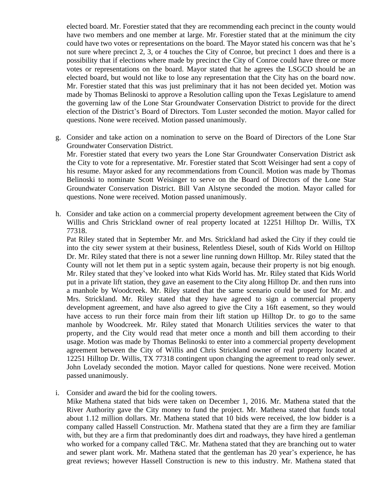elected board. Mr. Forestier stated that they are recommending each precinct in the county would have two members and one member at large. Mr. Forestier stated that at the minimum the city could have two votes or representations on the board. The Mayor stated his concern was that he's not sure where precinct 2, 3, or 4 touches the City of Conroe, but precinct 1 does and there is a possibility that if elections where made by precinct the City of Conroe could have three or more votes or representations on the board. Mayor stated that he agrees the LSGCD should be an elected board, but would not like to lose any representation that the City has on the board now. Mr. Forestier stated that this was just preliminary that it has not been decided yet. Motion was made by Thomas Belinoski to approve a Resolution calling upon the Texas Legislature to amend the governing law of the Lone Star Groundwater Conservation District to provide for the direct election of the District's Board of Directors. Tom Luster seconded the motion. Mayor called for questions. None were received. Motion passed unanimously.

g. Consider and take action on a nomination to serve on the Board of Directors of the Lone Star Groundwater Conservation District.

Mr. Forestier stated that every two years the Lone Star Groundwater Conservation District ask the City to vote for a representative. Mr. Forestier stated that Scott Weisinger had sent a copy of his resume. Mayor asked for any recommendations from Council. Motion was made by Thomas Belinoski to nominate Scott Weisinger to serve on the Board of Directors of the Lone Star Groundwater Conservation District. Bill Van Alstyne seconded the motion. Mayor called for questions. None were received. Motion passed unanimously.

h. Consider and take action on a commercial property development agreement between the City of Willis and Chris Strickland owner of real property located at 12251 Hilltop Dr. Willis, TX 77318.

Pat Riley stated that in September Mr. and Mrs. Strickland had asked the City if they could tie into the city sewer system at their business, Relentless Diesel, south of Kids World on Hilltop Dr. Mr. Riley stated that there is not a sewer line running down Hilltop. Mr. Riley stated that the County will not let them put in a septic system again, because their property is not big enough. Mr. Riley stated that they've looked into what Kids World has. Mr. Riley stated that Kids World put in a private lift station, they gave an easement to the City along Hilltop Dr. and then runs into a manhole by Woodcreek. Mr. Riley stated that the same scenario could be used for Mr. and Mrs. Strickland. Mr. Riley stated that they have agreed to sign a commercial property development agreement, and have also agreed to give the City a 16ft easement, so they would have access to run their force main from their lift station up Hilltop Dr. to go to the same manhole by Woodcreek. Mr. Riley stated that Monarch Utilities services the water to that property, and the City would read that meter once a month and bill them according to their usage. Motion was made by Thomas Belinoski to enter into a commercial property development agreement between the City of Willis and Chris Strickland owner of real property located at 12251 Hilltop Dr. Willis, TX 77318 contingent upon changing the agreement to read only sewer. John Lovelady seconded the motion. Mayor called for questions. None were received. Motion passed unanimously.

i. Consider and award the bid for the cooling towers.

Mike Mathena stated that bids were taken on December 1, 2016. Mr. Mathena stated that the River Authority gave the City money to fund the project. Mr. Mathena stated that funds total about 1.12 million dollars. Mr. Mathena stated that 10 bids were received, the low bidder is a company called Hassell Construction. Mr. Mathena stated that they are a firm they are familiar with, but they are a firm that predominantly does dirt and roadways, they have hired a gentleman who worked for a company called T&C. Mr. Mathena stated that they are branching out to water and sewer plant work. Mr. Mathena stated that the gentleman has 20 year's experience, he has great reviews; however Hassell Construction is new to this industry. Mr. Mathena stated that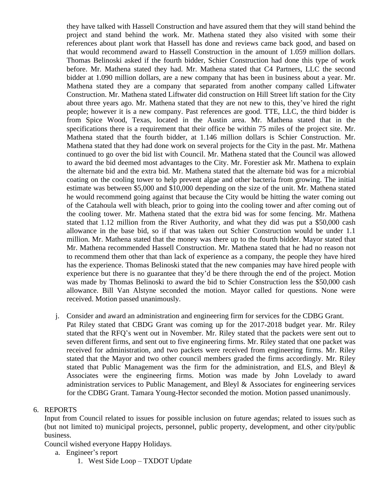they have talked with Hassell Construction and have assured them that they will stand behind the project and stand behind the work. Mr. Mathena stated they also visited with some their references about plant work that Hassell has done and reviews came back good, and based on that would recommend award to Hassell Construction in the amount of 1.059 million dollars. Thomas Belinoski asked if the fourth bidder, Schier Construction had done this type of work before. Mr. Mathena stated they had. Mr. Mathena stated that C4 Partners, LLC the second bidder at 1.090 million dollars, are a new company that has been in business about a year. Mr. Mathena stated they are a company that separated from another company called Liftwater Construction. Mr. Mathena stated Liftwater did construction on Hill Street lift station for the City about three years ago. Mr. Mathena stated that they are not new to this, they've hired the right people; however it is a new company. Past references are good. TTE, LLC, the third bidder is from Spice Wood, Texas, located in the Austin area. Mr. Mathena stated that in the specifications there is a requirement that their office be within 75 miles of the project site. Mr. Mathena stated that the fourth bidder, at 1.146 million dollars is Schier Construction. Mr. Mathena stated that they had done work on several projects for the City in the past. Mr. Mathena continued to go over the bid list with Council. Mr. Mathena stated that the Council was allowed to award the bid deemed most advantages to the City. Mr. Forestier ask Mr. Mathena to explain the alternate bid and the extra bid. Mr. Mathena stated that the alternate bid was for a microbial coating on the cooling tower to help prevent algae and other bacteria from growing. The initial estimate was between \$5,000 and \$10,000 depending on the size of the unit. Mr. Mathena stated he would recommend going against that because the City would be hitting the water coming out of the Catahoula well with bleach, prior to going into the cooling tower and after coming out of the cooling tower. Mr. Mathena stated that the extra bid was for some fencing. Mr. Mathena stated that 1.12 million from the River Authority, and what they did was put a \$50,000 cash allowance in the base bid, so if that was taken out Schier Construction would be under 1.1 million. Mr. Mathena stated that the money was there up to the fourth bidder. Mayor stated that Mr. Mathena recommended Hassell Construction. Mr. Mathena stated that he had no reason not to recommend them other that than lack of experience as a company, the people they have hired has the experience. Thomas Belinoski stated that the new companies may have hired people with experience but there is no guarantee that they'd be there through the end of the project. Motion was made by Thomas Belinoski to award the bid to Schier Construction less the \$50,000 cash allowance. Bill Van Alstyne seconded the motion. Mayor called for questions. None were received. Motion passed unanimously.

j. Consider and award an administration and engineering firm for services for the CDBG Grant. Pat Riley stated that CBDG Grant was coming up for the 2017-2018 budget year. Mr. Riley stated that the RFQ's went out in November. Mr. Riley stated that the packets were sent out to seven different firms, and sent out to five engineering firms. Mr. Riley stated that one packet was received for administration, and two packets were received from engineering firms. Mr. Riley stated that the Mayor and two other council members graded the firms accordingly. Mr. Riley stated that Public Management was the firm for the administration, and ELS, and Bleyl  $\&$ Associates were the engineering firms. Motion was made by John Lovelady to award administration services to Public Management, and Bleyl & Associates for engineering services for the CDBG Grant. Tamara Young-Hector seconded the motion. Motion passed unanimously.

## 6. REPORTS

Input from Council related to issues for possible inclusion on future agendas; related to issues such as (but not limited to) municipal projects, personnel, public property, development, and other city/public business.

Council wished everyone Happy Holidays.

- a. Engineer's report
	- 1. West Side Loop TXDOT Update